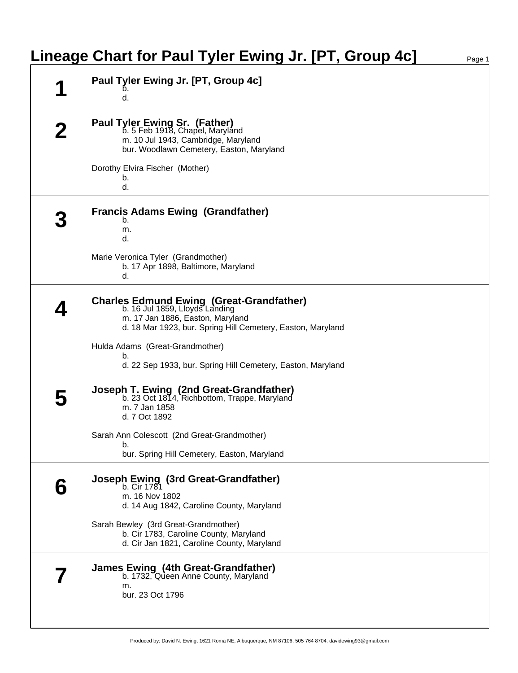## **Lineage Chart for Paul Tyler Ewing Jr. [PT, Group 4c]**

| Paul Tyler Ewing Jr. [PT, Group 4c]<br>d.                                                                                                                                            |
|--------------------------------------------------------------------------------------------------------------------------------------------------------------------------------------|
| <b>Paul Tyler Ewing Sr. (Father)</b><br><b>b. 5 Feb 1918, Chapel, Maryland</b><br>m. 10 Jul 1943, Cambridge, Maryland<br>bur. Woodlawn Cemetery, Easton, Maryland                    |
| Dorothy Elvira Fischer (Mother)<br>b.<br>d.                                                                                                                                          |
| <b>Francis Adams Ewing (Grandfather)</b><br>b.<br>m.<br>d.                                                                                                                           |
| Marie Veronica Tyler (Grandmother)<br>b. 17 Apr 1898, Baltimore, Maryland<br>d.                                                                                                      |
| <b>Charles Edmund Ewing (Great-Grandfather)</b><br>b. 16 Jul 1859, Lloyds Landing<br>m. 17 Jan 1886, Easton, Maryland<br>d. 18 Mar 1923, bur. Spring Hill Cemetery, Easton, Maryland |
| Hulda Adams (Great-Grandmother)<br>b.<br>d. 22 Sep 1933, bur. Spring Hill Cemetery, Easton, Maryland                                                                                 |
| Joseph T. Ewing (2nd Great-Grandfather)<br>b. 23 Oct 1814, Richbottom, Trappe, Maryland<br>m. 7 Jan 1858<br>d. 7 Oct 1892                                                            |
| Sarah Ann Colescott (2nd Great-Grandmother)<br>b.<br>bur. Spring Hill Cemetery, Easton, Maryland                                                                                     |
| Joseph Ewing (3rd Great-Grandfather)<br>b. Cir 1781<br>m. 16 Nov 1802<br>d. 14 Aug 1842, Caroline County, Maryland                                                                   |
| Sarah Bewley (3rd Great-Grandmother)<br>b. Cir 1783, Caroline County, Maryland<br>d. Cir Jan 1821, Caroline County, Maryland                                                         |
| James Ewing (4th Great-Grandfather)<br>b. 1732, Queen Anne County, Maryland<br>m.<br>bur. 23 Oct 1796                                                                                |